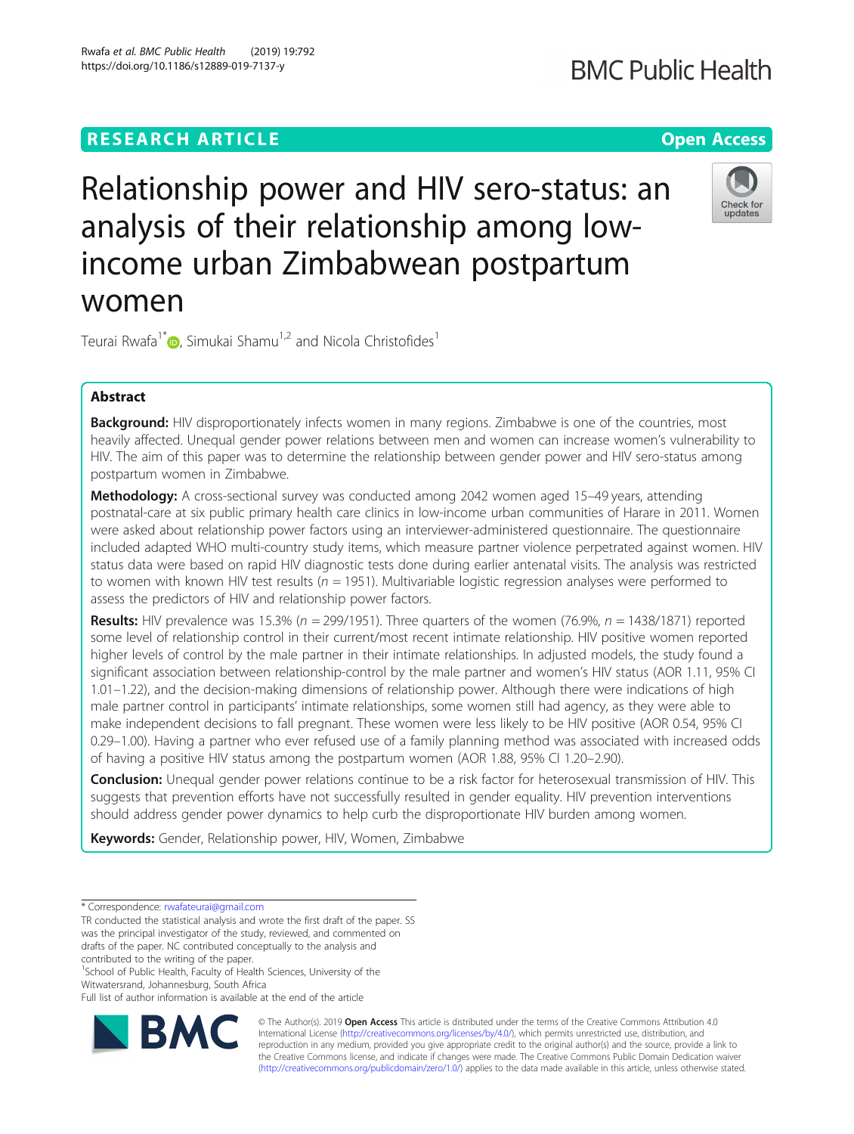# **RESEARCH ARTICLE Example 2014 12:30 The Contract of Contract ACCESS**

# Relationship power and HIV sero-status: an analysis of their relationship among lowincome urban Zimbabwean postpartum women

Teurai Rwafa<sup>1\*</sup> , Simukai Shamu<sup>1,2</sup> and Nicola Christofides<sup>1</sup>

# Abstract

Background: HIV disproportionately infects women in many regions. Zimbabwe is one of the countries, most heavily affected. Unequal gender power relations between men and women can increase women's vulnerability to HIV. The aim of this paper was to determine the relationship between gender power and HIV sero-status among postpartum women in Zimbabwe.

Methodology: A cross-sectional survey was conducted among 2042 women aged 15-49 years, attending postnatal-care at six public primary health care clinics in low-income urban communities of Harare in 2011. Women were asked about relationship power factors using an interviewer-administered questionnaire. The questionnaire included adapted WHO multi-country study items, which measure partner violence perpetrated against women. HIV status data were based on rapid HIV diagnostic tests done during earlier antenatal visits. The analysis was restricted to women with known HIV test results ( $n = 1951$ ). Multivariable logistic regression analyses were performed to assess the predictors of HIV and relationship power factors.

**Results:** HIV prevalence was 15.3% ( $n = 299/1951$ ). Three quarters of the women (76.9%,  $n = 1438/1871$ ) reported some level of relationship control in their current/most recent intimate relationship. HIV positive women reported higher levels of control by the male partner in their intimate relationships. In adjusted models, the study found a significant association between relationship-control by the male partner and women's HIV status (AOR 1.11, 95% CI 1.01–1.22), and the decision-making dimensions of relationship power. Although there were indications of high male partner control in participants' intimate relationships, some women still had agency, as they were able to make independent decisions to fall pregnant. These women were less likely to be HIV positive (AOR 0.54, 95% CI 0.29–1.00). Having a partner who ever refused use of a family planning method was associated with increased odds of having a positive HIV status among the postpartum women (AOR 1.88, 95% CI 1.20–2.90).

Conclusion: Unequal gender power relations continue to be a risk factor for heterosexual transmission of HIV. This suggests that prevention efforts have not successfully resulted in gender equality. HIV prevention interventions should address gender power dynamics to help curb the disproportionate HIV burden among women.

Keywords: Gender, Relationship power, HIV, Women, Zimbabwe

\* Correspondence: [rwafateurai@gmail.com](mailto:rwafateurai@gmail.com)

<sup>1</sup>School of Public Health, Faculty of Health Sciences, University of the Witwatersrand, Johannesburg, South Africa

Full list of author information is available at the end of the article



© The Author(s). 2019 **Open Access** This article is distributed under the terms of the Creative Commons Attribution 4.0 International License [\(http://creativecommons.org/licenses/by/4.0/](http://creativecommons.org/licenses/by/4.0/)), which permits unrestricted use, distribution, and reproduction in any medium, provided you give appropriate credit to the original author(s) and the source, provide a link to the Creative Commons license, and indicate if changes were made. The Creative Commons Public Domain Dedication waiver [\(http://creativecommons.org/publicdomain/zero/1.0/](http://creativecommons.org/publicdomain/zero/1.0/)) applies to the data made available in this article, unless otherwise stated.





TR conducted the statistical analysis and wrote the first draft of the paper. SS was the principal investigator of the study, reviewed, and commented on drafts of the paper. NC contributed conceptually to the analysis and contributed to the writing of the paper.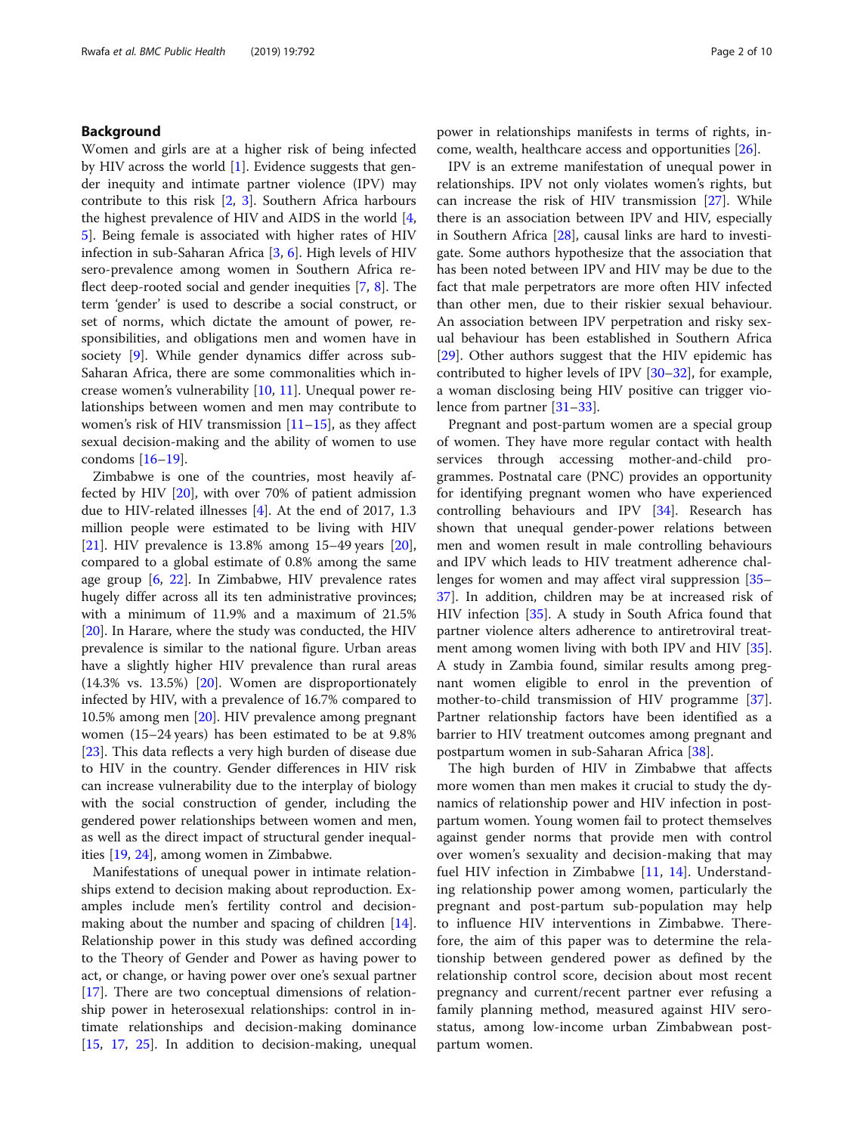# Background

Women and girls are at a higher risk of being infected by HIV across the world [[1](#page-8-0)]. Evidence suggests that gender inequity and intimate partner violence (IPV) may contribute to this risk [\[2](#page-8-0), [3\]](#page-8-0). Southern Africa harbours the highest prevalence of HIV and AIDS in the world [\[4](#page-8-0), [5\]](#page-8-0). Being female is associated with higher rates of HIV infection in sub-Saharan Africa [[3](#page-8-0), [6](#page-8-0)]. High levels of HIV sero-prevalence among women in Southern Africa reflect deep-rooted social and gender inequities [[7,](#page-8-0) [8\]](#page-8-0). The term 'gender' is used to describe a social construct, or set of norms, which dictate the amount of power, responsibilities, and obligations men and women have in society [[9\]](#page-8-0). While gender dynamics differ across sub-Saharan Africa, there are some commonalities which increase women's vulnerability [[10,](#page-8-0) [11\]](#page-8-0). Unequal power relationships between women and men may contribute to women's risk of HIV transmission  $[11–15]$  $[11–15]$  $[11–15]$  $[11–15]$  $[11–15]$ , as they affect sexual decision-making and the ability of women to use condoms [[16](#page-8-0)–[19\]](#page-8-0).

Zimbabwe is one of the countries, most heavily affected by HIV [[20\]](#page-8-0), with over 70% of patient admission due to HIV-related illnesses [\[4](#page-8-0)]. At the end of 2017, 1.3 million people were estimated to be living with HIV [[21\]](#page-8-0). HIV prevalence is 13.8% among 15–49 years [\[20](#page-8-0)], compared to a global estimate of 0.8% among the same age group  $[6, 22]$  $[6, 22]$  $[6, 22]$  $[6, 22]$  $[6, 22]$ . In Zimbabwe, HIV prevalence rates hugely differ across all its ten administrative provinces; with a minimum of 11.9% and a maximum of 21.5% [[20\]](#page-8-0). In Harare, where the study was conducted, the HIV prevalence is similar to the national figure. Urban areas have a slightly higher HIV prevalence than rural areas (14.3% vs. 13.5%) [[20](#page-8-0)]. Women are disproportionately infected by HIV, with a prevalence of 16.7% compared to 10.5% among men [\[20](#page-8-0)]. HIV prevalence among pregnant women (15–24 years) has been estimated to be at 9.8% [[23\]](#page-8-0). This data reflects a very high burden of disease due to HIV in the country. Gender differences in HIV risk can increase vulnerability due to the interplay of biology with the social construction of gender, including the gendered power relationships between women and men, as well as the direct impact of structural gender inequalities [\[19](#page-8-0), [24\]](#page-8-0), among women in Zimbabwe.

Manifestations of unequal power in intimate relationships extend to decision making about reproduction. Examples include men's fertility control and decisionmaking about the number and spacing of children [\[14](#page-8-0)]. Relationship power in this study was defined according to the Theory of Gender and Power as having power to act, or change, or having power over one's sexual partner [[17\]](#page-8-0). There are two conceptual dimensions of relationship power in heterosexual relationships: control in intimate relationships and decision-making dominance [[15,](#page-8-0) [17](#page-8-0), [25\]](#page-8-0). In addition to decision-making, unequal power in relationships manifests in terms of rights, income, wealth, healthcare access and opportunities [[26](#page-8-0)].

IPV is an extreme manifestation of unequal power in relationships. IPV not only violates women's rights, but can increase the risk of HIV transmission [[27\]](#page-8-0). While there is an association between IPV and HIV, especially in Southern Africa [[28\]](#page-8-0), causal links are hard to investigate. Some authors hypothesize that the association that has been noted between IPV and HIV may be due to the fact that male perpetrators are more often HIV infected than other men, due to their riskier sexual behaviour. An association between IPV perpetration and risky sexual behaviour has been established in Southern Africa [[29\]](#page-8-0). Other authors suggest that the HIV epidemic has contributed to higher levels of IPV [[30](#page-8-0)–[32](#page-8-0)], for example, a woman disclosing being HIV positive can trigger violence from partner [[31](#page-8-0)–[33](#page-8-0)].

Pregnant and post-partum women are a special group of women. They have more regular contact with health services through accessing mother-and-child programmes. Postnatal care (PNC) provides an opportunity for identifying pregnant women who have experienced controlling behaviours and IPV [\[34\]](#page-8-0). Research has shown that unequal gender-power relations between men and women result in male controlling behaviours and IPV which leads to HIV treatment adherence challenges for women and may affect viral suppression [[35](#page-8-0)– [37\]](#page-8-0). In addition, children may be at increased risk of HIV infection [[35](#page-8-0)]. A study in South Africa found that partner violence alters adherence to antiretroviral treatment among women living with both IPV and HIV [\[35](#page-8-0)]. A study in Zambia found, similar results among pregnant women eligible to enrol in the prevention of mother-to-child transmission of HIV programme [\[37](#page-8-0)]. Partner relationship factors have been identified as a barrier to HIV treatment outcomes among pregnant and postpartum women in sub-Saharan Africa [[38\]](#page-8-0).

The high burden of HIV in Zimbabwe that affects more women than men makes it crucial to study the dynamics of relationship power and HIV infection in postpartum women. Young women fail to protect themselves against gender norms that provide men with control over women's sexuality and decision-making that may fuel HIV infection in Zimbabwe [\[11](#page-8-0), [14\]](#page-8-0). Understanding relationship power among women, particularly the pregnant and post-partum sub-population may help to influence HIV interventions in Zimbabwe. Therefore, the aim of this paper was to determine the relationship between gendered power as defined by the relationship control score, decision about most recent pregnancy and current/recent partner ever refusing a family planning method, measured against HIV serostatus, among low-income urban Zimbabwean postpartum women.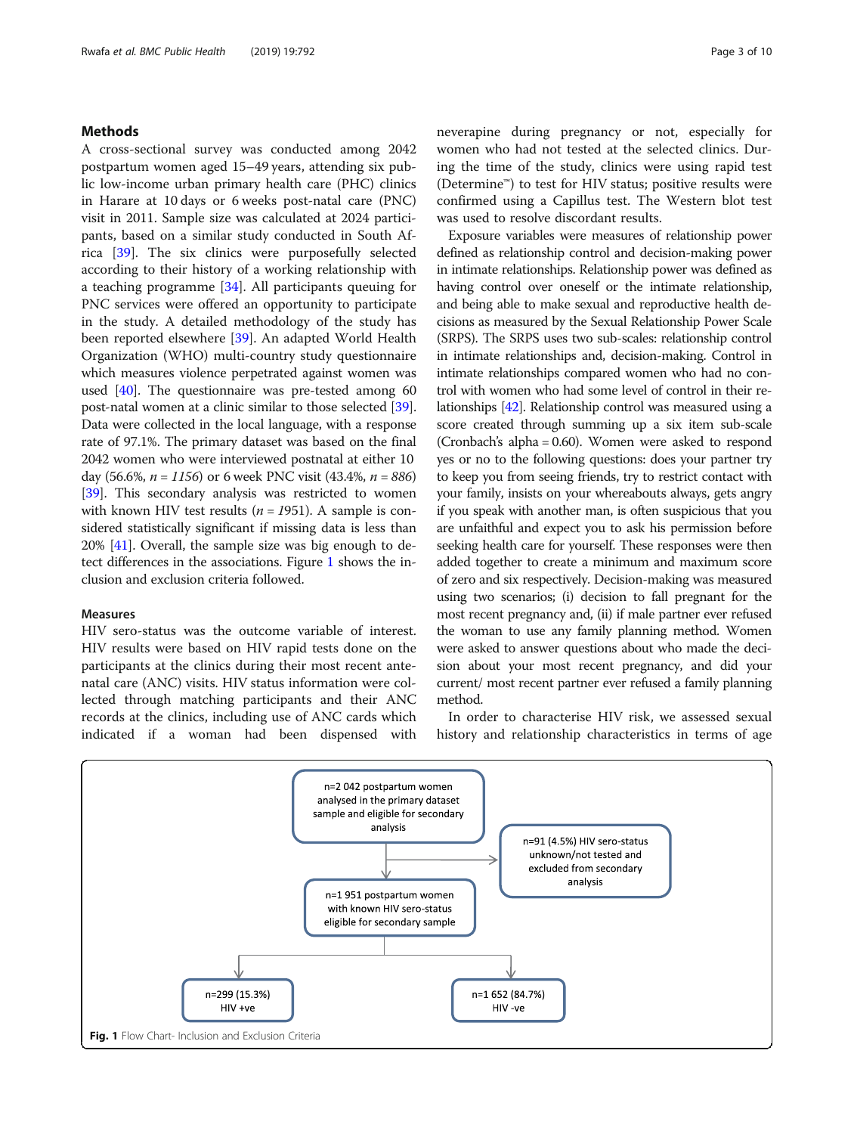# Methods

A cross-sectional survey was conducted among 2042 postpartum women aged 15–49 years, attending six public low-income urban primary health care (PHC) clinics in Harare at 10 days or 6 weeks post-natal care (PNC) visit in 2011. Sample size was calculated at 2024 participants, based on a similar study conducted in South Africa [\[39](#page-8-0)]. The six clinics were purposefully selected according to their history of a working relationship with a teaching programme [[34](#page-8-0)]. All participants queuing for PNC services were offered an opportunity to participate in the study. A detailed methodology of the study has been reported elsewhere [[39\]](#page-8-0). An adapted World Health Organization (WHO) multi-country study questionnaire which measures violence perpetrated against women was used [\[40\]](#page-8-0). The questionnaire was pre-tested among 60 post-natal women at a clinic similar to those selected [[39](#page-8-0)]. Data were collected in the local language, with a response rate of 97.1%. The primary dataset was based on the final 2042 women who were interviewed postnatal at either 10 day (56.6%,  $n = 1156$ ) or 6 week PNC visit (43.4%,  $n = 886$ ) [[39](#page-8-0)]. This secondary analysis was restricted to women with known HIV test results ( $n = 1951$ ). A sample is considered statistically significant if missing data is less than 20% [[41](#page-9-0)]. Overall, the sample size was big enough to detect differences in the associations. Figure 1 shows the inclusion and exclusion criteria followed.

# Measures

HIV sero-status was the outcome variable of interest. HIV results were based on HIV rapid tests done on the participants at the clinics during their most recent antenatal care (ANC) visits. HIV status information were collected through matching participants and their ANC records at the clinics, including use of ANC cards which indicated if a woman had been dispensed with neverapine during pregnancy or not, especially for women who had not tested at the selected clinics. During the time of the study, clinics were using rapid test (Determine™) to test for HIV status; positive results were confirmed using a Capillus test. The Western blot test was used to resolve discordant results.

Exposure variables were measures of relationship power defined as relationship control and decision-making power in intimate relationships. Relationship power was defined as having control over oneself or the intimate relationship, and being able to make sexual and reproductive health decisions as measured by the Sexual Relationship Power Scale (SRPS). The SRPS uses two sub-scales: relationship control in intimate relationships and, decision-making. Control in intimate relationships compared women who had no control with women who had some level of control in their relationships [\[42\]](#page-9-0). Relationship control was measured using a score created through summing up a six item sub-scale (Cronbach's alpha = 0.60). Women were asked to respond yes or no to the following questions: does your partner try to keep you from seeing friends, try to restrict contact with your family, insists on your whereabouts always, gets angry if you speak with another man, is often suspicious that you are unfaithful and expect you to ask his permission before seeking health care for yourself. These responses were then added together to create a minimum and maximum score of zero and six respectively. Decision-making was measured using two scenarios; (i) decision to fall pregnant for the most recent pregnancy and, (ii) if male partner ever refused the woman to use any family planning method. Women were asked to answer questions about who made the decision about your most recent pregnancy, and did your current/ most recent partner ever refused a family planning method.

In order to characterise HIV risk, we assessed sexual history and relationship characteristics in terms of age

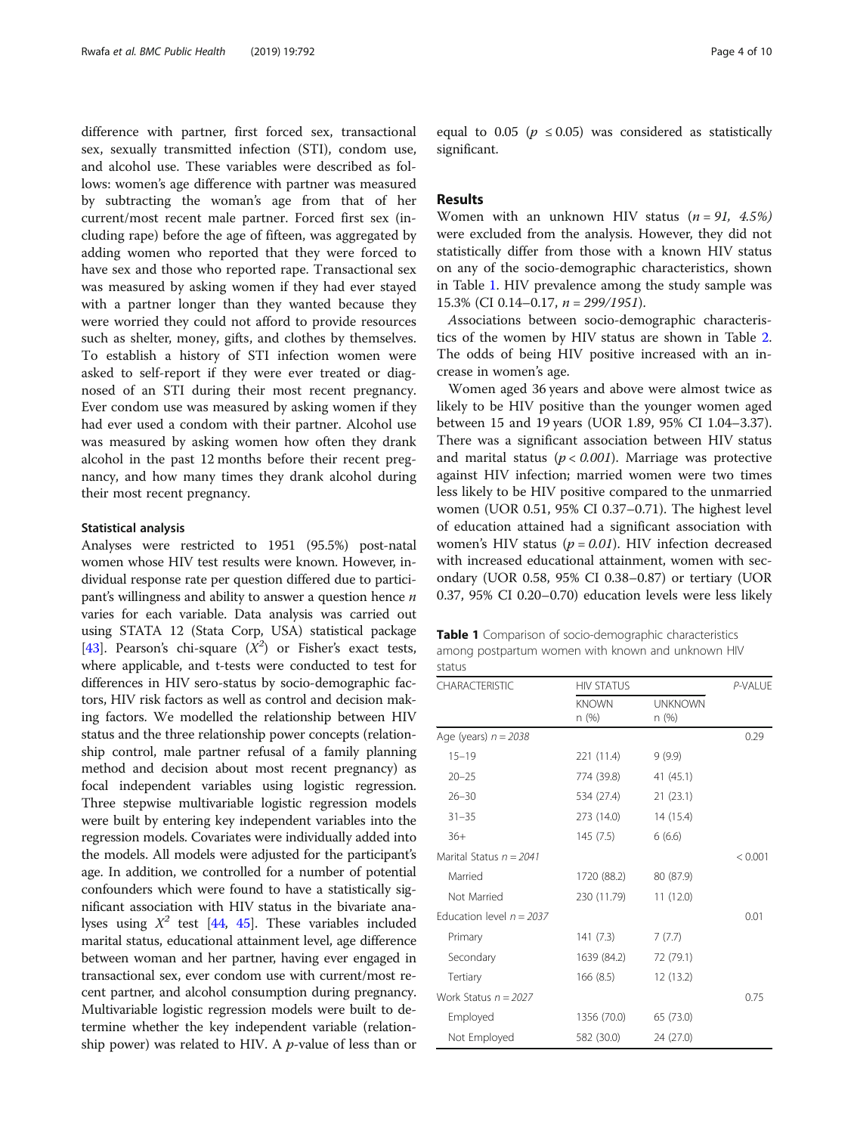difference with partner, first forced sex, transactional sex, sexually transmitted infection (STI), condom use, and alcohol use. These variables were described as follows: women's age difference with partner was measured by subtracting the woman's age from that of her current/most recent male partner. Forced first sex (including rape) before the age of fifteen, was aggregated by adding women who reported that they were forced to have sex and those who reported rape. Transactional sex was measured by asking women if they had ever stayed with a partner longer than they wanted because they were worried they could not afford to provide resources such as shelter, money, gifts, and clothes by themselves. To establish a history of STI infection women were asked to self-report if they were ever treated or diagnosed of an STI during their most recent pregnancy. Ever condom use was measured by asking women if they had ever used a condom with their partner. Alcohol use was measured by asking women how often they drank alcohol in the past 12 months before their recent pregnancy, and how many times they drank alcohol during their most recent pregnancy.

#### Statistical analysis

Analyses were restricted to 1951 (95.5%) post-natal women whose HIV test results were known. However, individual response rate per question differed due to participant's willingness and ability to answer a question hence  $n$ varies for each variable. Data analysis was carried out using STATA 12 (Stata Corp, USA) statistical package [[43](#page-9-0)]. Pearson's chi-square  $(X^2)$  or Fisher's exact tests, where applicable, and t-tests were conducted to test for differences in HIV sero-status by socio-demographic factors, HIV risk factors as well as control and decision making factors. We modelled the relationship between HIV status and the three relationship power concepts (relationship control, male partner refusal of a family planning method and decision about most recent pregnancy) as focal independent variables using logistic regression. Three stepwise multivariable logistic regression models were built by entering key independent variables into the regression models. Covariates were individually added into the models. All models were adjusted for the participant's age. In addition, we controlled for a number of potential confounders which were found to have a statistically significant association with HIV status in the bivariate analyses using  $X^2$  test [\[44,](#page-9-0) [45\]](#page-9-0). These variables included marital status, educational attainment level, age difference between woman and her partner, having ever engaged in transactional sex, ever condom use with current/most recent partner, and alcohol consumption during pregnancy. Multivariable logistic regression models were built to determine whether the key independent variable (relationship power) was related to HIV. A  $p$ -value of less than or

equal to 0.05 ( $p \le 0.05$ ) was considered as statistically significant.

# Results

Women with an unknown HIV status  $(n = 91, 4.5\%)$ were excluded from the analysis. However, they did not statistically differ from those with a known HIV status on any of the socio-demographic characteristics, shown in Table 1. HIV prevalence among the study sample was 15.3% (CI 0.14-0.17,  $n = 299/1951$ ).

Associations between socio-demographic characteristics of the women by HIV status are shown in Table [2](#page-4-0). The odds of being HIV positive increased with an increase in women's age.

Women aged 36 years and above were almost twice as likely to be HIV positive than the younger women aged between 15 and 19 years (UOR 1.89, 95% CI 1.04–3.37). There was a significant association between HIV status and marital status ( $p < 0.001$ ). Marriage was protective against HIV infection; married women were two times less likely to be HIV positive compared to the unmarried women (UOR 0.51, 95% CI 0.37–0.71). The highest level of education attained had a significant association with women's HIV status ( $p = 0.01$ ). HIV infection decreased with increased educational attainment, women with secondary (UOR 0.58, 95% CI 0.38–0.87) or tertiary (UOR 0.37, 95% CI 0.20–0.70) education levels were less likely

Table 1 Comparison of socio-demographic characteristics among postpartum women with known and unknown HIV status

| <b>CHARACTERISTIC</b>      | <b>HIV STATUS</b>    |                         |         |  |  |
|----------------------------|----------------------|-------------------------|---------|--|--|
|                            | <b>KNOWN</b><br>n(%) | <b>UNKNOWN</b><br>n (%) |         |  |  |
| Age (years) $n = 2038$     |                      |                         | 0.29    |  |  |
| $15 - 19$                  | 221 (11.4)           | 9(9.9)                  |         |  |  |
| $20 - 25$                  | 774 (39.8)           | 41 (45.1)               |         |  |  |
| $26 - 30$                  | 534 (27.4)           | 21(23.1)                |         |  |  |
| $31 - 35$                  | 273 (14.0)           | 14 (15.4)               |         |  |  |
| $36+$                      | 145(7.5)             | 6(6.6)                  |         |  |  |
| Marital Status $n = 2041$  |                      |                         | < 0.001 |  |  |
| Married                    | 1720 (88.2)          | 80 (87.9)               |         |  |  |
| Not Married                | 230 (11.79)          | 11(12.0)                |         |  |  |
| Education level $n = 2037$ |                      |                         | 0.01    |  |  |
| Primary                    | 141(7.3)             | 7(7.7)                  |         |  |  |
| Secondary                  | 1639 (84.2)          | 72 (79.1)               |         |  |  |
| Tertiary                   | 166(8.5)             | 12 (13.2)               |         |  |  |
| Work Status $n = 2027$     |                      |                         | 0.75    |  |  |
| Employed                   | 1356 (70.0)          | 65 (73.0)               |         |  |  |
| Not Employed               | 582 (30.0)           | 24 (27.0)               |         |  |  |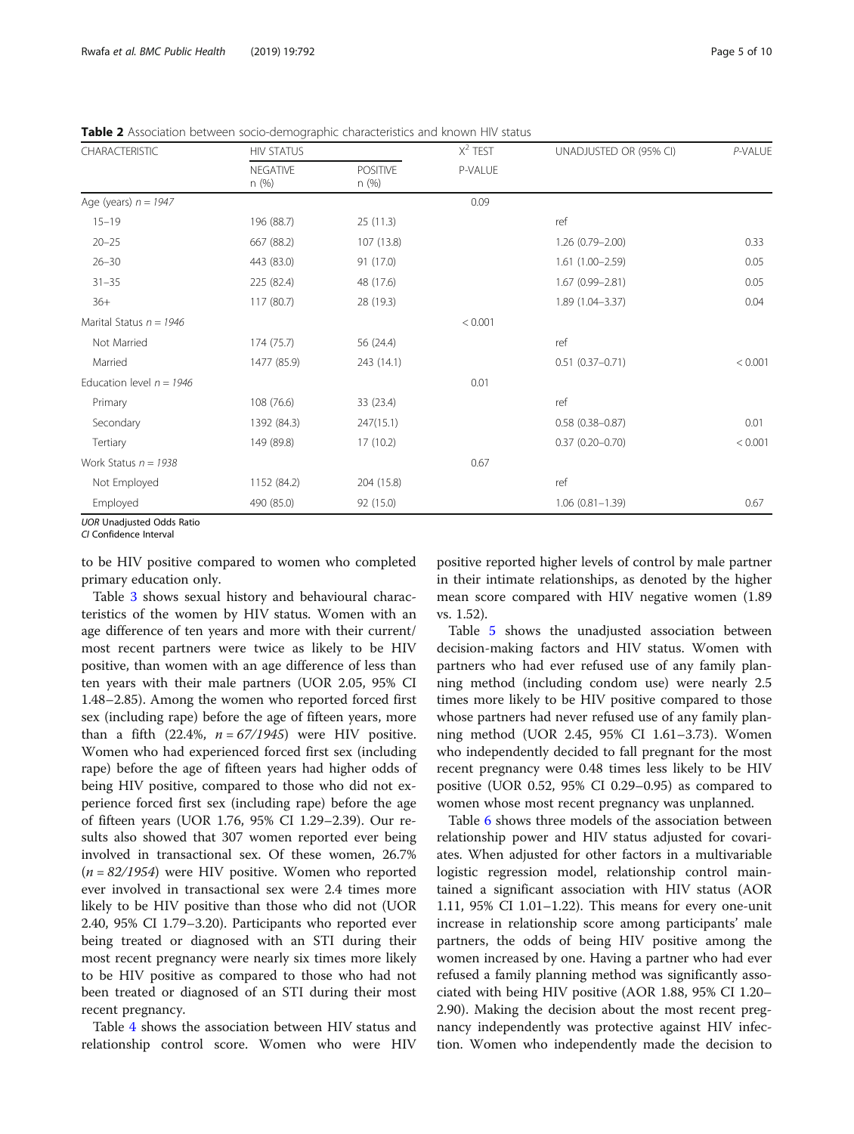| <b>CHARACTERISTIC</b>      | <b>HIV STATUS</b>        |                          | $X^2$ TEST | UNADJUSTED OR (95% CI) | P-VALUE |
|----------------------------|--------------------------|--------------------------|------------|------------------------|---------|
|                            | <b>NEGATIVE</b><br>n (%) | <b>POSITIVE</b><br>n (%) | P-VALUE    |                        |         |
| Age (years) $n = 1947$     |                          |                          | 0.09       |                        |         |
| $15 - 19$                  | 196 (88.7)               | 25(11.3)                 |            | ref                    |         |
| $20 - 25$                  | 667 (88.2)               | 107 (13.8)               |            | 1.26 (0.79-2.00)       | 0.33    |
| $26 - 30$                  | 443 (83.0)               | 91 (17.0)                |            | $1.61(1.00 - 2.59)$    | 0.05    |
| $31 - 35$                  | 225 (82.4)               | 48 (17.6)                |            | $1.67(0.99 - 2.81)$    | 0.05    |
| $36+$                      | 117 (80.7)               | 28 (19.3)                |            | 1.89 (1.04-3.37)       | 0.04    |
| Marital Status $n = 1946$  |                          |                          | < 0.001    |                        |         |
| Not Married                | 174 (75.7)               | 56 (24.4)                |            | ref                    |         |
| Married                    | 1477 (85.9)              | 243 (14.1)               |            | $0.51(0.37 - 0.71)$    | < 0.001 |
| Education level $n = 1946$ |                          |                          | 0.01       |                        |         |
| Primary                    | 108 (76.6)               | 33 (23.4)                |            | ref                    |         |
| Secondary                  | 1392 (84.3)              | 247(15.1)                |            | $0.58(0.38 - 0.87)$    | 0.01    |
| Tertiary                   | 149 (89.8)               | 17(10.2)                 |            | $0.37(0.20 - 0.70)$    | < 0.001 |
| Work Status $n = 1938$     |                          |                          | 0.67       |                        |         |
| Not Employed               | 1152 (84.2)              | 204 (15.8)               |            | ref                    |         |
| Employed                   | 490 (85.0)               | 92 (15.0)                |            | $1.06(0.81 - 1.39)$    | 0.67    |

<span id="page-4-0"></span>Table 2 Association between socio-demographic characteristics and known HIV status

UOR Unadjusted Odds Ratio

CI Confidence Interval

to be HIV positive compared to women who completed primary education only.

Table [3](#page-5-0) shows sexual history and behavioural characteristics of the women by HIV status. Women with an age difference of ten years and more with their current/ most recent partners were twice as likely to be HIV positive, than women with an age difference of less than ten years with their male partners (UOR 2.05, 95% CI 1.48–2.85). Among the women who reported forced first sex (including rape) before the age of fifteen years, more than a fifth (22.4%,  $n = 67/1945$ ) were HIV positive. Women who had experienced forced first sex (including rape) before the age of fifteen years had higher odds of being HIV positive, compared to those who did not experience forced first sex (including rape) before the age of fifteen years (UOR 1.76, 95% CI 1.29–2.39). Our results also showed that 307 women reported ever being involved in transactional sex. Of these women, 26.7%  $(n = 82/1954)$  were HIV positive. Women who reported ever involved in transactional sex were 2.4 times more likely to be HIV positive than those who did not (UOR 2.40, 95% CI 1.79–3.20). Participants who reported ever being treated or diagnosed with an STI during their most recent pregnancy were nearly six times more likely to be HIV positive as compared to those who had not been treated or diagnosed of an STI during their most recent pregnancy.

Table [4](#page-5-0) shows the association between HIV status and relationship control score. Women who were HIV

positive reported higher levels of control by male partner in their intimate relationships, as denoted by the higher mean score compared with HIV negative women (1.89 vs. 1.52).

Table [5](#page-6-0) shows the unadjusted association between decision-making factors and HIV status. Women with partners who had ever refused use of any family planning method (including condom use) were nearly 2.5 times more likely to be HIV positive compared to those whose partners had never refused use of any family planning method (UOR 2.45, 95% CI 1.61–3.73). Women who independently decided to fall pregnant for the most recent pregnancy were 0.48 times less likely to be HIV positive (UOR 0.52, 95% CI 0.29–0.95) as compared to women whose most recent pregnancy was unplanned.

Table [6](#page-6-0) shows three models of the association between relationship power and HIV status adjusted for covariates. When adjusted for other factors in a multivariable logistic regression model, relationship control maintained a significant association with HIV status (AOR 1.11, 95% CI 1.01–1.22). This means for every one-unit increase in relationship score among participants' male partners, the odds of being HIV positive among the women increased by one. Having a partner who had ever refused a family planning method was significantly associated with being HIV positive (AOR 1.88, 95% CI 1.20– 2.90). Making the decision about the most recent pregnancy independently was protective against HIV infection. Women who independently made the decision to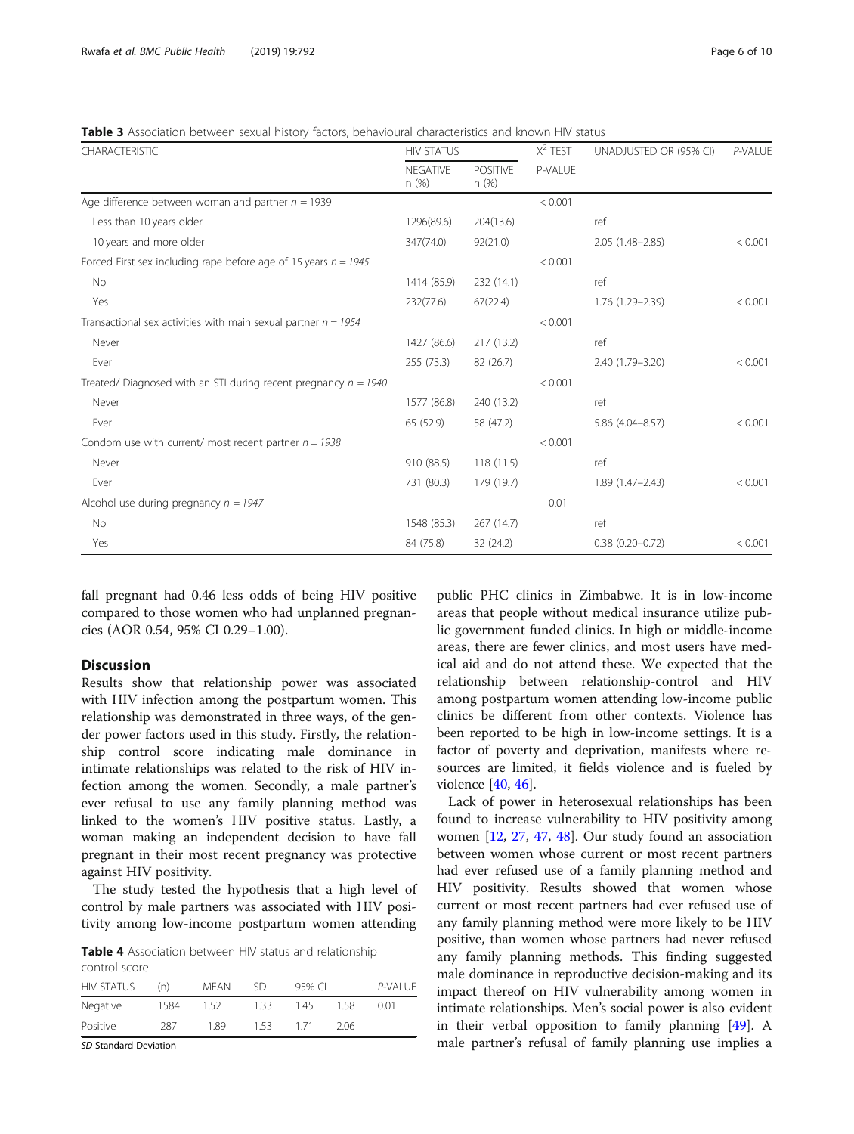<span id="page-5-0"></span>**Table 3** Association between sexual history factors, behavioural characteristics and known HIV status

| CHARACTERISTIC                                                    | <b>HIV STATUS</b>        |                         |         | UNADJUSTED OR (95% CI) | P-VALUE |  |
|-------------------------------------------------------------------|--------------------------|-------------------------|---------|------------------------|---------|--|
|                                                                   | <b>NFGATIVE</b><br>n (%) | <b>POSITIVE</b><br>n(%) | P-VALUE |                        |         |  |
| Age difference between woman and partner $n = 1939$               |                          |                         | < 0.001 |                        |         |  |
| Less than 10 years older                                          | 1296(89.6)               | 204(13.6)               |         | ref                    |         |  |
| 10 years and more older                                           | 347(74.0)                | 92(21.0)                |         | $2.05(1.48 - 2.85)$    | < 0.001 |  |
| Forced First sex including rape before age of 15 years $n = 1945$ |                          |                         | < 0.001 |                        |         |  |
| No.                                                               | 1414 (85.9)              | 232 (14.1)              |         | ref                    |         |  |
| Yes                                                               | 232(77.6)                | 67(22.4)                |         | 1.76 (1.29-2.39)       | < 0.001 |  |
| Transactional sex activities with main sexual partner $n = 1954$  |                          |                         | < 0.001 |                        |         |  |
| Never                                                             | 1427 (86.6)              | 217(13.2)               |         | ref                    |         |  |
| Ever                                                              | 255 (73.3)               | 82 (26.7)               |         | 2.40 (1.79-3.20)       | < 0.001 |  |
| Treated/ Diagnosed with an STI during recent pregnancy $n = 1940$ |                          |                         | < 0.001 |                        |         |  |
| Never                                                             | 1577 (86.8)              | 240 (13.2)              |         | ref                    |         |  |
| Ever                                                              | 65 (52.9)                | 58 (47.2)               |         | 5.86 (4.04-8.57)       | < 0.001 |  |
| Condom use with current/ most recent partner $n = 1938$           |                          |                         | < 0.001 |                        |         |  |
| Never                                                             | 910 (88.5)               | 118(11.5)               |         | ref                    |         |  |
| Ever                                                              | 731 (80.3)               | 179 (19.7)              |         | $1.89(1.47 - 2.43)$    | < 0.001 |  |
| Alcohol use during pregnancy $n = 1947$                           |                          |                         | 0.01    |                        |         |  |
| <b>No</b>                                                         | 1548 (85.3)              | 267 (14.7)              |         | ref                    |         |  |
| Yes                                                               | 84 (75.8)                | 32 (24.2)               |         | $0.38(0.20 - 0.72)$    | < 0.001 |  |

fall pregnant had 0.46 less odds of being HIV positive compared to those women who had unplanned pregnancies (AOR 0.54, 95% CI 0.29–1.00).

# **Discussion**

Results show that relationship power was associated with HIV infection among the postpartum women. This relationship was demonstrated in three ways, of the gender power factors used in this study. Firstly, the relationship control score indicating male dominance in intimate relationships was related to the risk of HIV infection among the women. Secondly, a male partner's ever refusal to use any family planning method was linked to the women's HIV positive status. Lastly, a woman making an independent decision to have fall pregnant in their most recent pregnancy was protective against HIV positivity.

The study tested the hypothesis that a high level of control by male partners was associated with HIV positivity among low-income postpartum women attending

Table 4 Association between HIV status and relationship control score

| COLILIOI JUULU    |      |      |      |        |      |          |
|-------------------|------|------|------|--------|------|----------|
| <b>HIV STATUS</b> | (n)  | MFAN | SD   | 95% CI |      | P-VAI UF |
| Negative          | 1584 | 1.52 | 1 33 | 145    | 1 58 | O 01     |
| Positive          | 287  | 189  | 153  | 171    | 206  |          |
|                   |      |      |      |        |      |          |

SD Standard Deviation

public PHC clinics in Zimbabwe. It is in low-income areas that people without medical insurance utilize public government funded clinics. In high or middle-income areas, there are fewer clinics, and most users have medical aid and do not attend these. We expected that the relationship between relationship-control and HIV among postpartum women attending low-income public clinics be different from other contexts. Violence has been reported to be high in low-income settings. It is a factor of poverty and deprivation, manifests where resources are limited, it fields violence and is fueled by violence [\[40,](#page-8-0) [46\]](#page-9-0).

Lack of power in heterosexual relationships has been found to increase vulnerability to HIV positivity among women [\[12](#page-8-0), [27,](#page-8-0) [47](#page-9-0), [48](#page-9-0)]. Our study found an association between women whose current or most recent partners had ever refused use of a family planning method and HIV positivity. Results showed that women whose current or most recent partners had ever refused use of any family planning method were more likely to be HIV positive, than women whose partners had never refused any family planning methods. This finding suggested male dominance in reproductive decision-making and its impact thereof on HIV vulnerability among women in intimate relationships. Men's social power is also evident in their verbal opposition to family planning [[49\]](#page-9-0). A male partner's refusal of family planning use implies a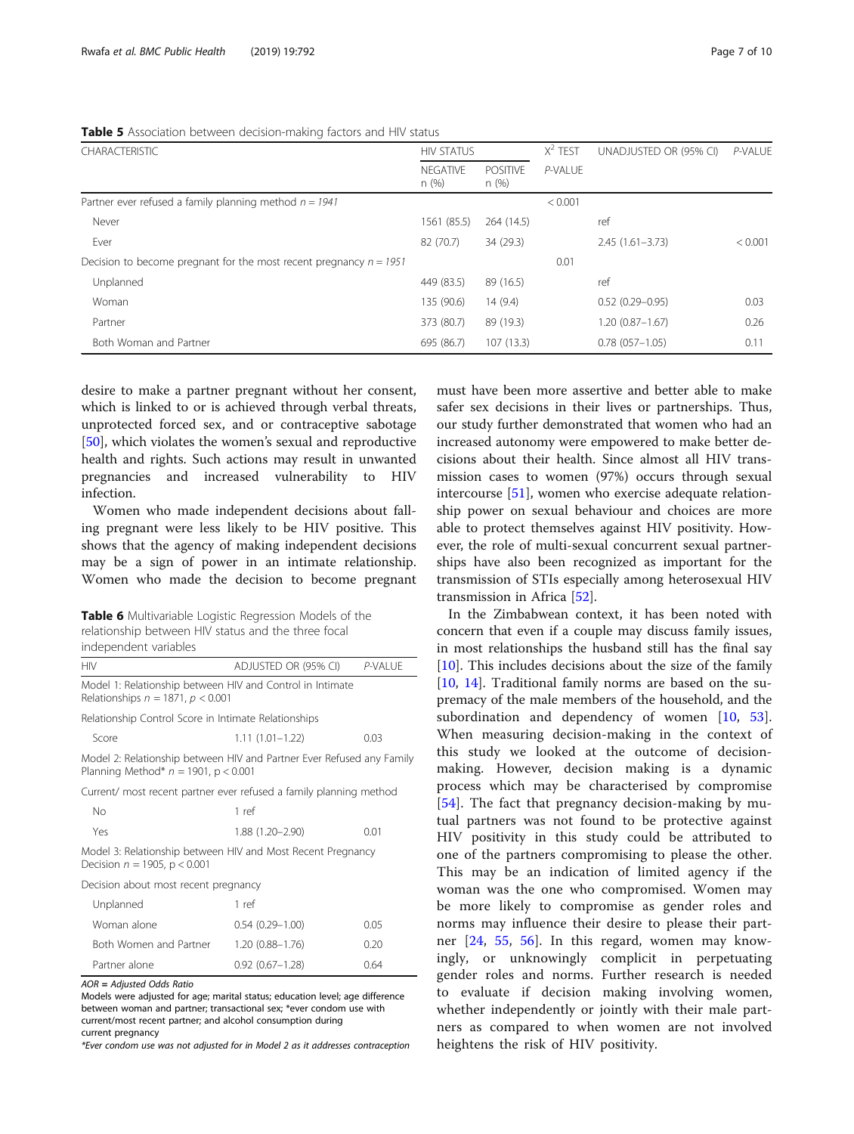<span id="page-6-0"></span>

| Table 5 Association between decision-making factors and HIV status |  |  |  |  |
|--------------------------------------------------------------------|--|--|--|--|
|                                                                    |  |  |  |  |

| <b>CHARACTERISTIC</b>                                                | <b>HIV STATUS</b>       |                          | $X^2$ TEST | UNADJUSTED OR (95% CI) | P-VALUE |
|----------------------------------------------------------------------|-------------------------|--------------------------|------------|------------------------|---------|
|                                                                      | <b>NFGATIVE</b><br>n(%) | <b>POSITIVE</b><br>n (%) | P-VALUE    |                        |         |
| Partner ever refused a family planning method $n = 1941$             |                         |                          | < 0.001    |                        |         |
| Never                                                                | 1561 (85.5)             | 264 (14.5)               |            | ref                    |         |
| Ever                                                                 | 82 (70.7)               | 34 (29.3)                |            | $2.45(1.61 - 3.73)$    | < 0.001 |
| Decision to become pregnant for the most recent pregnancy $n = 1951$ |                         |                          | 0.01       |                        |         |
| Unplanned                                                            | 449 (83.5)              | 89 (16.5)                |            | ref                    |         |
| Woman                                                                | 135 (90.6)              | 14(9.4)                  |            | $0.52(0.29 - 0.95)$    | 0.03    |
| Partner                                                              | 373 (80.7)              | 89 (19.3)                |            | $1.20(0.87 - 1.67)$    | 0.26    |
| Both Woman and Partner                                               | 695 (86.7)              | 107 (13.3)               |            | $0.78(057 - 1.05)$     | 0.11    |

desire to make a partner pregnant without her consent, which is linked to or is achieved through verbal threats, unprotected forced sex, and or contraceptive sabotage [[50\]](#page-9-0), which violates the women's sexual and reproductive health and rights. Such actions may result in unwanted pregnancies and increased vulnerability to HIV infection.

Women who made independent decisions about falling pregnant were less likely to be HIV positive. This shows that the agency of making independent decisions may be a sign of power in an intimate relationship. Women who made the decision to become pregnant

Table 6 Multivariable Logistic Regression Models of the relationship between HIV status and the three focal independent variables

| <b>HIV</b>                             | ADJUSTED OR (95% CI)                                      | P-VALUE |
|----------------------------------------|-----------------------------------------------------------|---------|
| Relationships $n = 1871$ , $p < 0.001$ | Model 1: Relationship between HIV and Control in Intimate |         |
|                                        |                                                           |         |

Relationship Control Score in Intimate Relationships

Score 1.11 (1.01–1.22) 0.03

Model 2: Relationship between HIV and Partner Ever Refused any Family Planning Method\*  $n = 1901$ ,  $p < 0.001$ 

Current/ most recent partner ever refused a family planning method

| No. | 1 ref            |      |
|-----|------------------|------|
| Yes | 1.88 (1.20-2.90) | 0.01 |

Model 3: Relationship between HIV and Most Recent Pregnancy Decision  $n = 1905$ ,  $p < 0.001$ 

Decision about most recent pregnancy

| Unplanned              | 1 ref               |      |
|------------------------|---------------------|------|
| Woman alone            | $0.54(0.29 - 1.00)$ | 005  |
| Both Women and Partner | $1.20(0.88 - 1.76)$ | 0.20 |
| Partner alone          | $0.92(0.67 - 1.28)$ | 064  |

AOR = Adjusted Odds Ratio

Models were adjusted for age; marital status; education level; age difference between woman and partner; transactional sex; \*ever condom use with current/most recent partner; and alcohol consumption during current pregnancy

\*Ever condom use was not adjusted for in Model 2 as it addresses contraception

must have been more assertive and better able to make safer sex decisions in their lives or partnerships. Thus, our study further demonstrated that women who had an increased autonomy were empowered to make better decisions about their health. Since almost all HIV transmission cases to women (97%) occurs through sexual intercourse [[51\]](#page-9-0), women who exercise adequate relationship power on sexual behaviour and choices are more able to protect themselves against HIV positivity. However, the role of multi-sexual concurrent sexual partnerships have also been recognized as important for the transmission of STIs especially among heterosexual HIV transmission in Africa [\[52](#page-9-0)].

In the Zimbabwean context, it has been noted with concern that even if a couple may discuss family issues, in most relationships the husband still has the final say [[10\]](#page-8-0). This includes decisions about the size of the family [[10,](#page-8-0) [14\]](#page-8-0). Traditional family norms are based on the supremacy of the male members of the household, and the subordination and dependency of women [[10,](#page-8-0) [53](#page-9-0)]. When measuring decision-making in the context of this study we looked at the outcome of decisionmaking. However, decision making is a dynamic process which may be characterised by compromise [[54\]](#page-9-0). The fact that pregnancy decision-making by mutual partners was not found to be protective against HIV positivity in this study could be attributed to one of the partners compromising to please the other. This may be an indication of limited agency if the woman was the one who compromised. Women may be more likely to compromise as gender roles and norms may influence their desire to please their partner [\[24](#page-8-0), [55](#page-9-0), [56\]](#page-9-0). In this regard, women may knowingly, or unknowingly complicit in perpetuating gender roles and norms. Further research is needed to evaluate if decision making involving women, whether independently or jointly with their male partners as compared to when women are not involved heightens the risk of HIV positivity.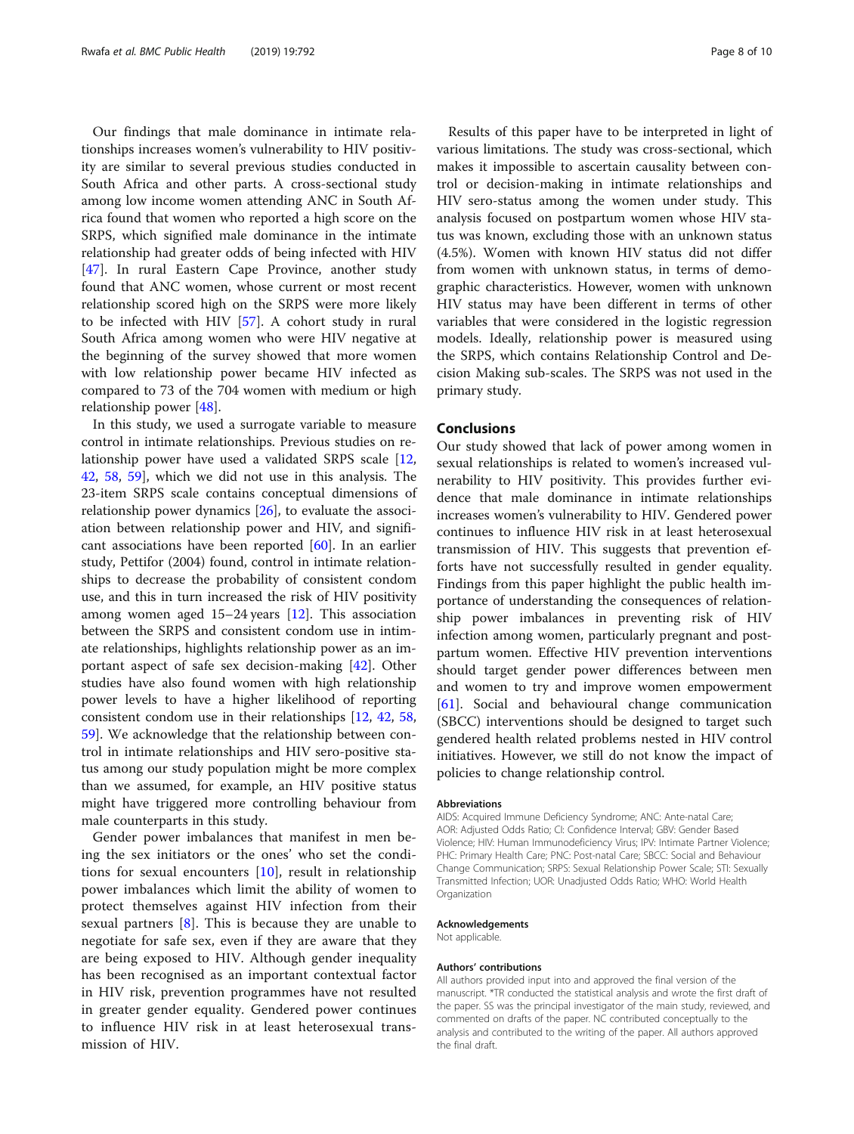Our findings that male dominance in intimate relationships increases women's vulnerability to HIV positivity are similar to several previous studies conducted in South Africa and other parts. A cross-sectional study among low income women attending ANC in South Africa found that women who reported a high score on the SRPS, which signified male dominance in the intimate relationship had greater odds of being infected with HIV [[47\]](#page-9-0). In rural Eastern Cape Province, another study found that ANC women, whose current or most recent relationship scored high on the SRPS were more likely to be infected with HIV [[57\]](#page-9-0). A cohort study in rural South Africa among women who were HIV negative at the beginning of the survey showed that more women with low relationship power became HIV infected as compared to 73 of the 704 women with medium or high relationship power [\[48\]](#page-9-0).

In this study, we used a surrogate variable to measure control in intimate relationships. Previous studies on relationship power have used a validated SRPS scale [[12](#page-8-0), [42,](#page-9-0) [58,](#page-9-0) [59\]](#page-9-0), which we did not use in this analysis. The 23-item SRPS scale contains conceptual dimensions of relationship power dynamics [[26\]](#page-8-0), to evaluate the association between relationship power and HIV, and significant associations have been reported [[60\]](#page-9-0). In an earlier study, Pettifor (2004) found, control in intimate relationships to decrease the probability of consistent condom use, and this in turn increased the risk of HIV positivity among women aged  $15-24$  years [\[12\]](#page-8-0). This association between the SRPS and consistent condom use in intimate relationships, highlights relationship power as an important aspect of safe sex decision-making [[42](#page-9-0)]. Other studies have also found women with high relationship power levels to have a higher likelihood of reporting consistent condom use in their relationships [[12,](#page-8-0) [42,](#page-9-0) [58](#page-9-0), [59\]](#page-9-0). We acknowledge that the relationship between control in intimate relationships and HIV sero-positive status among our study population might be more complex than we assumed, for example, an HIV positive status might have triggered more controlling behaviour from male counterparts in this study.

Gender power imbalances that manifest in men being the sex initiators or the ones' who set the conditions for sexual encounters [\[10](#page-8-0)], result in relationship power imbalances which limit the ability of women to protect themselves against HIV infection from their sexual partners [\[8](#page-8-0)]. This is because they are unable to negotiate for safe sex, even if they are aware that they are being exposed to HIV. Although gender inequality has been recognised as an important contextual factor in HIV risk, prevention programmes have not resulted in greater gender equality. Gendered power continues to influence HIV risk in at least heterosexual transmission of HIV.

Results of this paper have to be interpreted in light of various limitations. The study was cross-sectional, which makes it impossible to ascertain causality between control or decision-making in intimate relationships and HIV sero-status among the women under study. This analysis focused on postpartum women whose HIV status was known, excluding those with an unknown status (4.5%). Women with known HIV status did not differ from women with unknown status, in terms of demographic characteristics. However, women with unknown HIV status may have been different in terms of other variables that were considered in the logistic regression models. Ideally, relationship power is measured using the SRPS, which contains Relationship Control and Decision Making sub-scales. The SRPS was not used in the primary study.

# Conclusions

Our study showed that lack of power among women in sexual relationships is related to women's increased vulnerability to HIV positivity. This provides further evidence that male dominance in intimate relationships increases women's vulnerability to HIV. Gendered power continues to influence HIV risk in at least heterosexual transmission of HIV. This suggests that prevention efforts have not successfully resulted in gender equality. Findings from this paper highlight the public health importance of understanding the consequences of relationship power imbalances in preventing risk of HIV infection among women, particularly pregnant and postpartum women. Effective HIV prevention interventions should target gender power differences between men and women to try and improve women empowerment [[61\]](#page-9-0). Social and behavioural change communication (SBCC) interventions should be designed to target such gendered health related problems nested in HIV control initiatives. However, we still do not know the impact of policies to change relationship control.

#### Abbreviations

AIDS: Acquired Immune Deficiency Syndrome; ANC: Ante-natal Care; AOR: Adjusted Odds Ratio; CI: Confidence Interval; GBV: Gender Based Violence; HIV: Human Immunodeficiency Virus; IPV: Intimate Partner Violence; PHC: Primary Health Care; PNC: Post-natal Care; SBCC: Social and Behaviour Change Communication; SRPS: Sexual Relationship Power Scale; STI: Sexually Transmitted Infection; UOR: Unadjusted Odds Ratio; WHO: World Health Organization

# Acknowledgements

Not applicable.

### Authors' contributions

All authors provided input into and approved the final version of the manuscript. \*TR conducted the statistical analysis and wrote the first draft of the paper. SS was the principal investigator of the main study, reviewed, and commented on drafts of the paper. NC contributed conceptually to the analysis and contributed to the writing of the paper. All authors approved the final draft.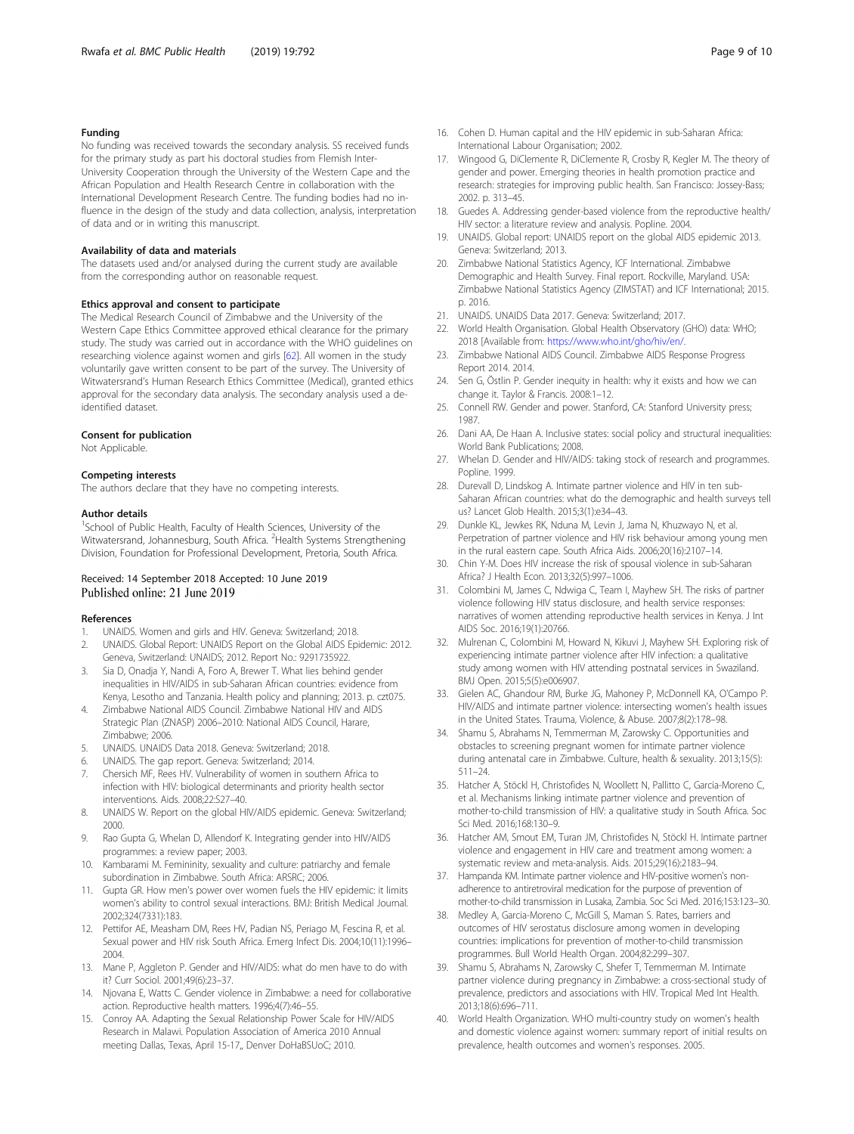# <span id="page-8-0"></span>Funding

No funding was received towards the secondary analysis. SS received funds for the primary study as part his doctoral studies from Flemish Inter-University Cooperation through the University of the Western Cape and the African Population and Health Research Centre in collaboration with the International Development Research Centre. The funding bodies had no influence in the design of the study and data collection, analysis, interpretation of data and or in writing this manuscript.

#### Availability of data and materials

The datasets used and/or analysed during the current study are available from the corresponding author on reasonable request.

#### Ethics approval and consent to participate

The Medical Research Council of Zimbabwe and the University of the Western Cape Ethics Committee approved ethical clearance for the primary study. The study was carried out in accordance with the WHO guidelines on researching violence against women and girls [[62\]](#page-9-0). All women in the study voluntarily gave written consent to be part of the survey. The University of Witwatersrand's Human Research Ethics Committee (Medical), granted ethics approval for the secondary data analysis. The secondary analysis used a deidentified dataset.

#### Consent for publication

Not Applicable.

## Competing interests

The authors declare that they have no competing interests.

### Author details

<sup>1</sup>School of Public Health, Faculty of Health Sciences, University of the Witwatersrand, Johannesburg, South Africa. <sup>2</sup>Health Systems Strengthening Division, Foundation for Professional Development, Pretoria, South Africa.

# Received: 14 September 2018 Accepted: 10 June 2019 Published online: 21 June 2019

#### References

- 1. UNAIDS. Women and girls and HIV. Geneva: Switzerland; 2018.
- 2. UNAIDS. Global Report: UNAIDS Report on the Global AIDS Epidemic: 2012. Geneva, Switzerland: UNAIDS; 2012. Report No.: 9291735922.
- 3. Sia D, Onadja Y, Nandi A, Foro A, Brewer T. What lies behind gender inequalities in HIV/AIDS in sub-Saharan African countries: evidence from Kenya, Lesotho and Tanzania. Health policy and planning; 2013. p. czt075.
- 4. Zimbabwe National AIDS Council. Zimbabwe National HIV and AIDS Strategic Plan (ZNASP) 2006–2010: National AIDS Council, Harare, Zimbabwe; 2006.
- 5. UNAIDS. UNAIDS Data 2018. Geneva: Switzerland; 2018.
- 6. UNAIDS. The gap report. Geneva: Switzerland; 2014.
- 7. Chersich MF, Rees HV. Vulnerability of women in southern Africa to infection with HIV: biological determinants and priority health sector interventions. Aids. 2008;22:S27–40.
- 8. UNAIDS W. Report on the global HIV/AIDS epidemic. Geneva: Switzerland; 2000.
- 9. Rao Gupta G, Whelan D, Allendorf K. Integrating gender into HIV/AIDS programmes: a review paper; 2003.
- 10. Kambarami M. Femininity, sexuality and culture: patriarchy and female subordination in Zimbabwe. South Africa: ARSRC; 2006.
- 11. Gupta GR. How men's power over women fuels the HIV epidemic: it limits women's ability to control sexual interactions. BMJ: British Medical Journal. 2002;324(7331):183.
- 12. Pettifor AE, Measham DM, Rees HV, Padian NS, Periago M, Fescina R, et al. Sexual power and HIV risk South Africa. Emerg Infect Dis. 2004;10(11):1996– 2004.
- 13. Mane P, Aggleton P. Gender and HIV/AIDS: what do men have to do with it? Curr Sociol. 2001;49(6):23–37.
- 14. Njovana E, Watts C. Gender violence in Zimbabwe: a need for collaborative action. Reproductive health matters. 1996;4(7):46–55.
- 15. Conroy AA. Adapting the Sexual Relationship Power Scale for HIV/AIDS Research in Malawi. Population Association of America 2010 Annual meeting Dallas, Texas, April 15-17,, Denver DoHaBSUoC; 2010.
- 16. Cohen D. Human capital and the HIV epidemic in sub-Saharan Africa:
- International Labour Organisation; 2002. 17. Wingood G, DiClemente R, DiClemente R, Crosby R, Kegler M. The theory of gender and power. Emerging theories in health promotion practice and research: strategies for improving public health. San Francisco: Jossey-Bass; 2002. p. 313–45.
- 18. Guedes A. Addressing gender-based violence from the reproductive health/ HIV sector: a literature review and analysis. Popline. 2004.
- 19. UNAIDS. Global report: UNAIDS report on the global AIDS epidemic 2013. Geneva: Switzerland; 2013.
- 20. Zimbabwe National Statistics Agency, ICF International. Zimbabwe Demographic and Health Survey. Final report. Rockville, Maryland. USA: Zimbabwe National Statistics Agency (ZIMSTAT) and ICF International; 2015. p. 2016.
- 21. UNAIDS. UNAIDS Data 2017. Geneva: Switzerland; 2017.
- 22. World Health Organisation. Global Health Observatory (GHO) data: WHO; 2018 [Available from: <https://www.who.int/gho/hiv/en/>.
- 23. Zimbabwe National AIDS Council. Zimbabwe AIDS Response Progress Report 2014. 2014.
- 24. Sen G, Östlin P. Gender inequity in health: why it exists and how we can change it. Taylor & Francis. 2008:1–12.
- 25. Connell RW. Gender and power. Stanford, CA: Stanford University press; 1987.
- 26. Dani AA, De Haan A. Inclusive states: social policy and structural inequalities: World Bank Publications; 2008.
- 27. Whelan D. Gender and HIV/AIDS: taking stock of research and programmes. Popline. 1999.
- 28. Durevall D, Lindskog A. Intimate partner violence and HIV in ten sub-Saharan African countries: what do the demographic and health surveys tell us? Lancet Glob Health. 2015;3(1):e34–43.
- 29. Dunkle KL, Jewkes RK, Nduna M, Levin J, Jama N, Khuzwayo N, et al. Perpetration of partner violence and HIV risk behaviour among young men in the rural eastern cape. South Africa Aids. 2006;20(16):2107–14.
- 30. Chin Y-M. Does HIV increase the risk of spousal violence in sub-Saharan Africa? J Health Econ. 2013;32(5):997–1006.
- 31. Colombini M, James C, Ndwiga C, Team I, Mayhew SH. The risks of partner violence following HIV status disclosure, and health service responses: narratives of women attending reproductive health services in Kenya. J Int AIDS Soc. 2016;19(1):20766.
- 32. Mulrenan C, Colombini M, Howard N, Kikuvi J, Mayhew SH. Exploring risk of experiencing intimate partner violence after HIV infection: a qualitative study among women with HIV attending postnatal services in Swaziland. BMJ Open. 2015;5(5):e006907.
- 33. Gielen AC, Ghandour RM, Burke JG, Mahoney P, McDonnell KA, O'Campo P. HIV/AIDS and intimate partner violence: intersecting women's health issues in the United States. Trauma, Violence, & Abuse. 2007;8(2):178–98.
- 34. Shamu S, Abrahams N, Temmerman M, Zarowsky C. Opportunities and obstacles to screening pregnant women for intimate partner violence during antenatal care in Zimbabwe. Culture, health & sexuality. 2013;15(5): 511–24.
- 35. Hatcher A, Stöckl H, Christofides N, Woollett N, Pallitto C, Garcia-Moreno C, et al. Mechanisms linking intimate partner violence and prevention of mother-to-child transmission of HIV: a qualitative study in South Africa. Soc Sci Med. 2016;168:130–9.
- 36. Hatcher AM, Smout EM, Turan JM, Christofides N, Stöckl H. Intimate partner violence and engagement in HIV care and treatment among women: a systematic review and meta-analysis. Aids. 2015;29(16):2183–94.
- 37. Hampanda KM. Intimate partner violence and HIV-positive women's nonadherence to antiretroviral medication for the purpose of prevention of mother-to-child transmission in Lusaka, Zambia. Soc Sci Med. 2016;153:123–30.
- 38. Medley A, Garcia-Moreno C, McGill S, Maman S. Rates, barriers and outcomes of HIV serostatus disclosure among women in developing countries: implications for prevention of mother-to-child transmission programmes. Bull World Health Organ. 2004;82:299–307.
- 39. Shamu S, Abrahams N, Zarowsky C, Shefer T, Temmerman M. Intimate partner violence during pregnancy in Zimbabwe: a cross-sectional study of prevalence, predictors and associations with HIV. Tropical Med Int Health. 2013;18(6):696–711.
- 40. World Health Organization. WHO multi-country study on women's health and domestic violence against women: summary report of initial results on prevalence, health outcomes and women's responses. 2005.